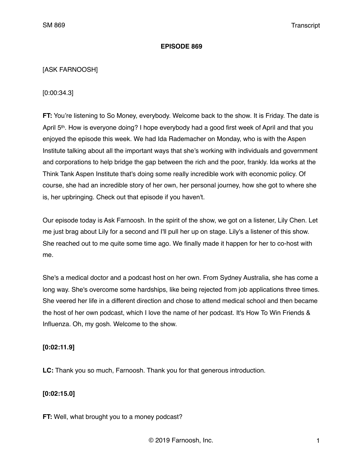#### **EPISODE 869**

#### [ASK FARNOOSH]

[0:00:34.3]

**FT:** You're listening to So Money, everybody. Welcome back to the show. It is Friday. The date is April 5th. How is everyone doing? I hope everybody had a good first week of April and that you enjoyed the episode this week. We had Ida Rademacher on Monday, who is with the Aspen Institute talking about all the important ways that she's working with individuals and government and corporations to help bridge the gap between the rich and the poor, frankly. Ida works at the Think Tank Aspen Institute that's doing some really incredible work with economic policy. Of course, she had an incredible story of her own, her personal journey, how she got to where she is, her upbringing. Check out that episode if you haven't.

Our episode today is Ask Farnoosh. In the spirit of the show, we got on a listener, Lily Chen. Let me just brag about Lily for a second and I'll pull her up on stage. Lily's a listener of this show. She reached out to me quite some time ago. We finally made it happen for her to co-host with me.

She's a medical doctor and a podcast host on her own. From Sydney Australia, she has come a long way. She's overcome some hardships, like being rejected from job applications three times. She veered her life in a different direction and chose to attend medical school and then became the host of her own podcast, which I love the name of her podcast. It's How To Win Friends & Influenza. Oh, my gosh. Welcome to the show.

#### **[0:02:11.9]**

**LC:** Thank you so much, Farnoosh. Thank you for that generous introduction.

## **[0:02:15.0]**

**FT:** Well, what brought you to a money podcast?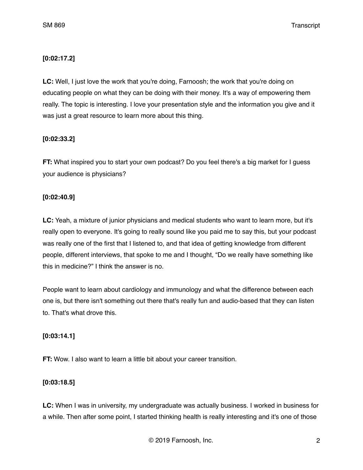# **[0:02:17.2]**

**LC:** Well, I just love the work that you're doing, Farnoosh; the work that you're doing on educating people on what they can be doing with their money. It's a way of empowering them really. The topic is interesting. I love your presentation style and the information you give and it was just a great resource to learn more about this thing.

# **[0:02:33.2]**

**FT:** What inspired you to start your own podcast? Do you feel there's a big market for I guess your audience is physicians?

# **[0:02:40.9]**

**LC:** Yeah, a mixture of junior physicians and medical students who want to learn more, but it's really open to everyone. It's going to really sound like you paid me to say this, but your podcast was really one of the first that I listened to, and that idea of getting knowledge from different people, different interviews, that spoke to me and I thought, "Do we really have something like this in medicine?" I think the answer is no.

People want to learn about cardiology and immunology and what the difference between each one is, but there isn't something out there that's really fun and audio-based that they can listen to. That's what drove this.

## **[0:03:14.1]**

**FT:** Wow. I also want to learn a little bit about your career transition.

## **[0:03:18.5]**

**LC:** When I was in university, my undergraduate was actually business. I worked in business for a while. Then after some point, I started thinking health is really interesting and it's one of those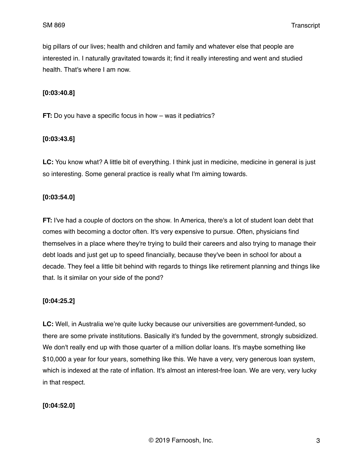big pillars of our lives; health and children and family and whatever else that people are interested in. I naturally gravitated towards it; find it really interesting and went and studied health. That's where I am now.

#### **[0:03:40.8]**

**FT:** Do you have a specific focus in how – was it pediatrics?

#### **[0:03:43.6]**

**LC:** You know what? A little bit of everything. I think just in medicine, medicine in general is just so interesting. Some general practice is really what I'm aiming towards.

#### **[0:03:54.0]**

**FT:** I've had a couple of doctors on the show. In America, there's a lot of student loan debt that comes with becoming a doctor often. It's very expensive to pursue. Often, physicians find themselves in a place where they're trying to build their careers and also trying to manage their debt loads and just get up to speed financially, because they've been in school for about a decade. They feel a little bit behind with regards to things like retirement planning and things like that. Is it similar on your side of the pond?

## **[0:04:25.2]**

**LC:** Well, in Australia we're quite lucky because our universities are government-funded, so there are some private institutions. Basically it's funded by the government, strongly subsidized. We don't really end up with those quarter of a million dollar loans. It's maybe something like \$10,000 a year for four years, something like this. We have a very, very generous loan system, which is indexed at the rate of inflation. It's almost an interest-free loan. We are very, very lucky in that respect.

#### **[0:04:52.0]**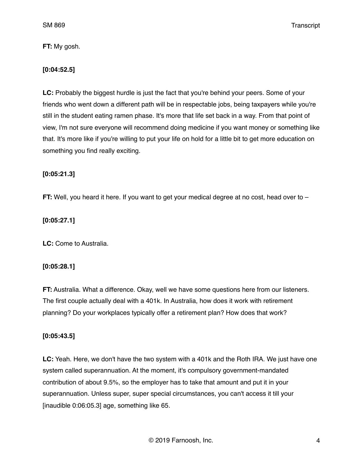**FT:** My gosh.

## **[0:04:52.5]**

**LC:** Probably the biggest hurdle is just the fact that you're behind your peers. Some of your friends who went down a different path will be in respectable jobs, being taxpayers while you're still in the student eating ramen phase. It's more that life set back in a way. From that point of view, I'm not sure everyone will recommend doing medicine if you want money or something like that. It's more like if you're willing to put your life on hold for a little bit to get more education on something you find really exciting.

## **[0:05:21.3]**

**FT:** Well, you heard it here. If you want to get your medical degree at no cost, head over to –

# **[0:05:27.1]**

**LC:** Come to Australia.

## **[0:05:28.1]**

**FT:** Australia. What a difference. Okay, well we have some questions here from our listeners. The first couple actually deal with a 401k. In Australia, how does it work with retirement planning? Do your workplaces typically offer a retirement plan? How does that work?

# **[0:05:43.5]**

**LC:** Yeah. Here, we don't have the two system with a 401k and the Roth IRA. We just have one system called superannuation. At the moment, it's compulsory government-mandated contribution of about 9.5%, so the employer has to take that amount and put it in your superannuation. Unless super, super special circumstances, you can't access it till your [inaudible 0:06:05.3] age, something like 65.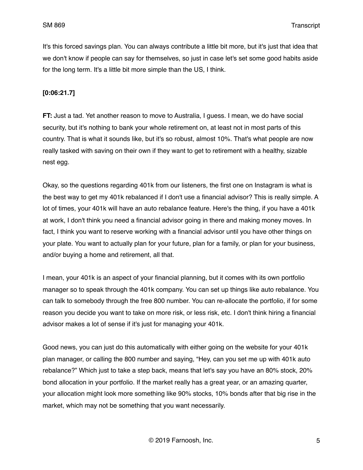It's this forced savings plan. You can always contribute a little bit more, but it's just that idea that we don't know if people can say for themselves, so just in case let's set some good habits aside for the long term. It's a little bit more simple than the US, I think.

#### **[0:06:21.7]**

**FT:** Just a tad. Yet another reason to move to Australia, I guess. I mean, we do have social security, but it's nothing to bank your whole retirement on, at least not in most parts of this country. That is what it sounds like, but it's so robust, almost 10%. That's what people are now really tasked with saving on their own if they want to get to retirement with a healthy, sizable nest egg.

Okay, so the questions regarding 401k from our listeners, the first one on Instagram is what is the best way to get my 401k rebalanced if I don't use a financial advisor? This is really simple. A lot of times, your 401k will have an auto rebalance feature. Here's the thing, if you have a 401k at work, I don't think you need a financial advisor going in there and making money moves. In fact, I think you want to reserve working with a financial advisor until you have other things on your plate. You want to actually plan for your future, plan for a family, or plan for your business, and/or buying a home and retirement, all that.

I mean, your 401k is an aspect of your financial planning, but it comes with its own portfolio manager so to speak through the 401k company. You can set up things like auto rebalance. You can talk to somebody through the free 800 number. You can re-allocate the portfolio, if for some reason you decide you want to take on more risk, or less risk, etc. I don't think hiring a financial advisor makes a lot of sense if it's just for managing your 401k.

Good news, you can just do this automatically with either going on the website for your 401k plan manager, or calling the 800 number and saying, "Hey, can you set me up with 401k auto rebalance?" Which just to take a step back, means that let's say you have an 80% stock, 20% bond allocation in your portfolio. If the market really has a great year, or an amazing quarter, your allocation might look more something like 90% stocks, 10% bonds after that big rise in the market, which may not be something that you want necessarily.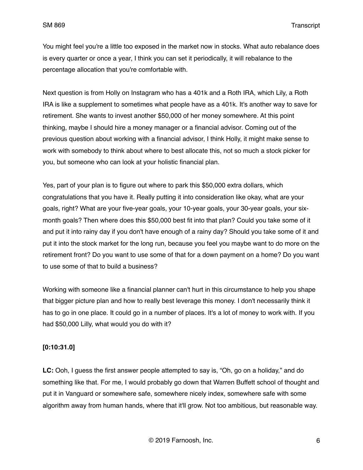You might feel you're a little too exposed in the market now in stocks. What auto rebalance does is every quarter or once a year, I think you can set it periodically, it will rebalance to the percentage allocation that you're comfortable with.

Next question is from Holly on Instagram who has a 401k and a Roth IRA, which Lily, a Roth IRA is like a supplement to sometimes what people have as a 401k. It's another way to save for retirement. She wants to invest another \$50,000 of her money somewhere. At this point thinking, maybe I should hire a money manager or a financial advisor. Coming out of the previous question about working with a financial advisor, I think Holly, it might make sense to work with somebody to think about where to best allocate this, not so much a stock picker for you, but someone who can look at your holistic financial plan.

Yes, part of your plan is to figure out where to park this \$50,000 extra dollars, which congratulations that you have it. Really putting it into consideration like okay, what are your goals, right? What are your five-year goals, your 10-year goals, your 30-year goals, your sixmonth goals? Then where does this \$50,000 best fit into that plan? Could you take some of it and put it into rainy day if you don't have enough of a rainy day? Should you take some of it and put it into the stock market for the long run, because you feel you maybe want to do more on the retirement front? Do you want to use some of that for a down payment on a home? Do you want to use some of that to build a business?

Working with someone like a financial planner can't hurt in this circumstance to help you shape that bigger picture plan and how to really best leverage this money. I don't necessarily think it has to go in one place. It could go in a number of places. It's a lot of money to work with. If you had \$50,000 Lilly, what would you do with it?

#### **[0:10:31.0]**

**LC:** Ooh, I guess the first answer people attempted to say is, "Oh, go on a holiday," and do something like that. For me, I would probably go down that Warren Buffett school of thought and put it in Vanguard or somewhere safe, somewhere nicely index, somewhere safe with some algorithm away from human hands, where that it'll grow. Not too ambitious, but reasonable way.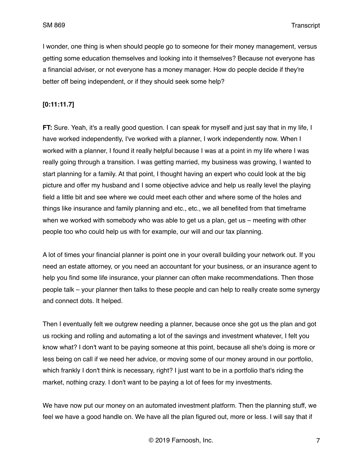I wonder, one thing is when should people go to someone for their money management, versus getting some education themselves and looking into it themselves? Because not everyone has a financial adviser, or not everyone has a money manager. How do people decide if they're better off being independent, or if they should seek some help?

## **[0:11:11.7]**

**FT:** Sure. Yeah, it's a really good question. I can speak for myself and just say that in my life, I have worked independently, I've worked with a planner, I work independently now. When I worked with a planner, I found it really helpful because I was at a point in my life where I was really going through a transition. I was getting married, my business was growing, I wanted to start planning for a family. At that point, I thought having an expert who could look at the big picture and offer my husband and I some objective advice and help us really level the playing field a little bit and see where we could meet each other and where some of the holes and things like insurance and family planning and etc., etc., we all benefited from that timeframe when we worked with somebody who was able to get us a plan, get us – meeting with other people too who could help us with for example, our will and our tax planning.

A lot of times your financial planner is point one in your overall building your network out. If you need an estate attorney, or you need an accountant for your business, or an insurance agent to help you find some life insurance, your planner can often make recommendations. Then those people talk – your planner then talks to these people and can help to really create some synergy and connect dots. It helped.

Then I eventually felt we outgrew needing a planner, because once she got us the plan and got us rocking and rolling and automating a lot of the savings and investment whatever, I felt you know what? I don't want to be paying someone at this point, because all she's doing is more or less being on call if we need her advice, or moving some of our money around in our portfolio, which frankly I don't think is necessary, right? I just want to be in a portfolio that's riding the market, nothing crazy. I don't want to be paying a lot of fees for my investments.

We have now put our money on an automated investment platform. Then the planning stuff, we feel we have a good handle on. We have all the plan figured out, more or less. I will say that if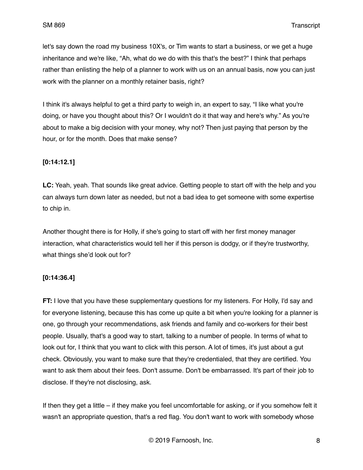let's say down the road my business 10X's, or Tim wants to start a business, or we get a huge inheritance and we're like, "Ah, what do we do with this that's the best?" I think that perhaps rather than enlisting the help of a planner to work with us on an annual basis, now you can just work with the planner on a monthly retainer basis, right?

I think it's always helpful to get a third party to weigh in, an expert to say, "I like what you're doing, or have you thought about this? Or I wouldn't do it that way and here's why." As you're about to make a big decision with your money, why not? Then just paying that person by the hour, or for the month. Does that make sense?

## **[0:14:12.1]**

**LC:** Yeah, yeah. That sounds like great advice. Getting people to start off with the help and you can always turn down later as needed, but not a bad idea to get someone with some expertise to chip in.

Another thought there is for Holly, if she's going to start off with her first money manager interaction, what characteristics would tell her if this person is dodgy, or if they're trustworthy, what things she'd look out for?

## **[0:14:36.4]**

**FT:** I love that you have these supplementary questions for my listeners. For Holly, I'd say and for everyone listening, because this has come up quite a bit when you're looking for a planner is one, go through your recommendations, ask friends and family and co-workers for their best people. Usually, that's a good way to start, talking to a number of people. In terms of what to look out for, I think that you want to click with this person. A lot of times, it's just about a gut check. Obviously, you want to make sure that they're credentialed, that they are certified. You want to ask them about their fees. Don't assume. Don't be embarrassed. It's part of their job to disclose. If they're not disclosing, ask.

If then they get a little – if they make you feel uncomfortable for asking, or if you somehow felt it wasn't an appropriate question, that's a red flag. You don't want to work with somebody whose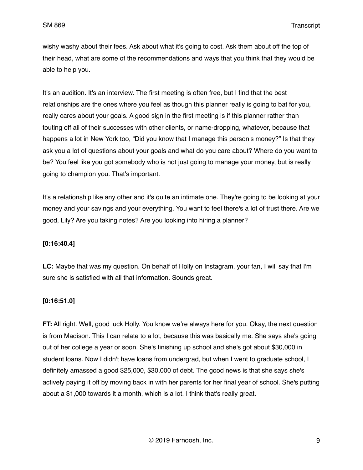wishy washy about their fees. Ask about what it's going to cost. Ask them about off the top of their head, what are some of the recommendations and ways that you think that they would be able to help you.

It's an audition. It's an interview. The first meeting is often free, but I find that the best relationships are the ones where you feel as though this planner really is going to bat for you, really cares about your goals. A good sign in the first meeting is if this planner rather than touting off all of their successes with other clients, or name-dropping, whatever, because that happens a lot in New York too, "Did you know that I manage this person's money?" Is that they ask you a lot of questions about your goals and what do you care about? Where do you want to be? You feel like you got somebody who is not just going to manage your money, but is really going to champion you. That's important.

It's a relationship like any other and it's quite an intimate one. They're going to be looking at your money and your savings and your everything. You want to feel there's a lot of trust there. Are we good, Lily? Are you taking notes? Are you looking into hiring a planner?

## **[0:16:40.4]**

**LC:** Maybe that was my question. On behalf of Holly on Instagram, your fan, I will say that I'm sure she is satisfied with all that information. Sounds great.

## **[0:16:51.0]**

**FT:** All right. Well, good luck Holly. You know we're always here for you. Okay, the next question is from Madison. This I can relate to a lot, because this was basically me. She says she's going out of her college a year or soon. She's finishing up school and she's got about \$30,000 in student loans. Now I didn't have loans from undergrad, but when I went to graduate school, I definitely amassed a good \$25,000, \$30,000 of debt. The good news is that she says she's actively paying it off by moving back in with her parents for her final year of school. She's putting about a \$1,000 towards it a month, which is a lot. I think that's really great.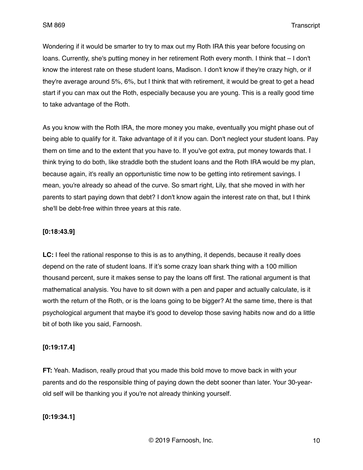Wondering if it would be smarter to try to max out my Roth IRA this year before focusing on loans. Currently, she's putting money in her retirement Roth every month. I think that – I don't know the interest rate on these student loans, Madison. I don't know if they're crazy high, or if they're average around 5%, 6%, but I think that with retirement, it would be great to get a head start if you can max out the Roth, especially because you are young. This is a really good time to take advantage of the Roth.

As you know with the Roth IRA, the more money you make, eventually you might phase out of being able to qualify for it. Take advantage of it if you can. Don't neglect your student loans. Pay them on time and to the extent that you have to. If you've got extra, put money towards that. I think trying to do both, like straddle both the student loans and the Roth IRA would be my plan, because again, it's really an opportunistic time now to be getting into retirement savings. I mean, you're already so ahead of the curve. So smart right, Lily, that she moved in with her parents to start paying down that debt? I don't know again the interest rate on that, but I think she'll be debt-free within three years at this rate.

## **[0:18:43.9]**

**LC:** I feel the rational response to this is as to anything, it depends, because it really does depend on the rate of student loans. If it's some crazy loan shark thing with a 100 million thousand percent, sure it makes sense to pay the loans off first. The rational argument is that mathematical analysis. You have to sit down with a pen and paper and actually calculate, is it worth the return of the Roth, or is the loans going to be bigger? At the same time, there is that psychological argument that maybe it's good to develop those saving habits now and do a little bit of both like you said, Farnoosh.

## **[0:19:17.4]**

**FT:** Yeah. Madison, really proud that you made this bold move to move back in with your parents and do the responsible thing of paying down the debt sooner than later. Your 30-yearold self will be thanking you if you're not already thinking yourself.

## **[0:19:34.1]**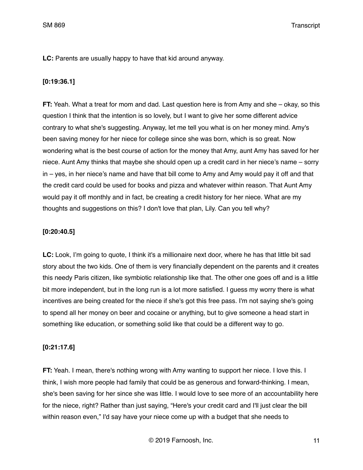SM 869 Transcript

**LC:** Parents are usually happy to have that kid around anyway.

## **[0:19:36.1]**

**FT:** Yeah. What a treat for mom and dad. Last question here is from Amy and she – okay, so this question I think that the intention is so lovely, but I want to give her some different advice contrary to what she's suggesting. Anyway, let me tell you what is on her money mind. Amy's been saving money for her niece for college since she was born, which is so great. Now wondering what is the best course of action for the money that Amy, aunt Amy has saved for her niece. Aunt Amy thinks that maybe she should open up a credit card in her niece's name – sorry in – yes, in her niece's name and have that bill come to Amy and Amy would pay it off and that the credit card could be used for books and pizza and whatever within reason. That Aunt Amy would pay it off monthly and in fact, be creating a credit history for her niece. What are my thoughts and suggestions on this? I don't love that plan, Lily. Can you tell why?

## **[0:20:40.5]**

**LC:** Look, I'm going to quote, I think it's a millionaire next door, where he has that little bit sad story about the two kids. One of them is very financially dependent on the parents and it creates this needy Paris citizen, like symbiotic relationship like that. The other one goes off and is a little bit more independent, but in the long run is a lot more satisfied. I guess my worry there is what incentives are being created for the niece if she's got this free pass. I'm not saying she's going to spend all her money on beer and cocaine or anything, but to give someone a head start in something like education, or something solid like that could be a different way to go.

## **[0:21:17.6]**

**FT:** Yeah. I mean, there's nothing wrong with Amy wanting to support her niece. I love this. I think, I wish more people had family that could be as generous and forward-thinking. I mean, she's been saving for her since she was little. I would love to see more of an accountability here for the niece, right? Rather than just saying, "Here's your credit card and I'll just clear the bill within reason even," I'd say have your niece come up with a budget that she needs to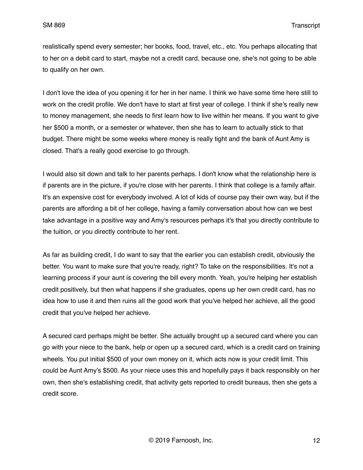realistically spend every semester; her books, food, travel, etc., etc. You perhaps allocating that to her on a debit card to start, maybe not a credit card, because one, she's not going to be able to qualify on her own.

I don't love the idea of you opening it for her in her name. I think we have some time here still to work on the credit profile. We don't have to start at first year of college. I think if she's really new to money management, she needs to first learn how to live within her means. If you want to give her \$500 a month, or a semester or whatever, then she has to learn to actually stick to that budget. There might be some weeks where money is really tight and the bank of Aunt Amy is closed. That's a really good exercise to go through.

I would also sit down and talk to her parents perhaps. I don't know what the relationship here is if parents are in the picture, if you're close with her parents. I think that college is a family affair. It's an expensive cost for everybody involved. A lot of kids of course pay their own way, but if the parents are affording a bit of her college, having a family conversation about how can we best take advantage in a positive way and Amy's resources perhaps it's that you directly contribute to the tuition, or you directly contribute to her rent.

As far as building credit, I do want to say that the earlier you can establish credit, obviously the better. You want to make sure that you're ready, right? To take on the responsibilities. It's not a learning process if your aunt is covering the bill every month. Yeah, you're helping her establish credit positively, but then what happens if she graduates, opens up her own credit card, has no idea how to use it and then ruins all the good work that you've helped her achieve, all the good credit that you've helped her achieve.

A secured card perhaps might be better. She actually brought up a secured card where you can go with your niece to the bank, help or open up a secured card, which is a credit card on training wheels. You put initial \$500 of your own money on it, which acts now is your credit limit. This could be Aunt Amy's \$500. As your niece uses this and hopefully pays it back responsibly on her own, then she's establishing credit, that activity gets reported to credit bureaus, then she gets a credit score.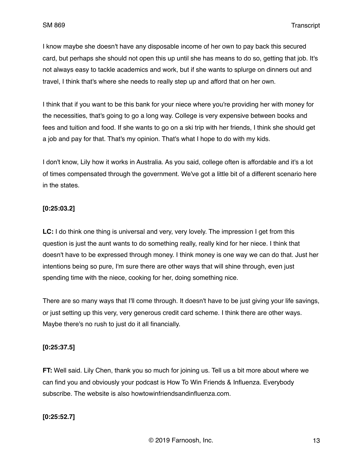I know maybe she doesn't have any disposable income of her own to pay back this secured card, but perhaps she should not open this up until she has means to do so, getting that job. It's not always easy to tackle academics and work, but if she wants to splurge on dinners out and travel, I think that's where she needs to really step up and afford that on her own.

I think that if you want to be this bank for your niece where you're providing her with money for the necessities, that's going to go a long way. College is very expensive between books and fees and tuition and food. If she wants to go on a ski trip with her friends, I think she should get a job and pay for that. That's my opinion. That's what I hope to do with my kids.

I don't know, Lily how it works in Australia. As you said, college often is affordable and it's a lot of times compensated through the government. We've got a little bit of a different scenario here in the states.

#### **[0:25:03.2]**

**LC:** I do think one thing is universal and very, very lovely. The impression I get from this question is just the aunt wants to do something really, really kind for her niece. I think that doesn't have to be expressed through money. I think money is one way we can do that. Just her intentions being so pure, I'm sure there are other ways that will shine through, even just spending time with the niece, cooking for her, doing something nice.

There are so many ways that I'll come through. It doesn't have to be just giving your life savings, or just setting up this very, very generous credit card scheme. I think there are other ways. Maybe there's no rush to just do it all financially.

#### **[0:25:37.5]**

**FT:** Well said. Lily Chen, thank you so much for joining us. Tell us a bit more about where we can find you and obviously your podcast is How To Win Friends & Influenza. Everybody subscribe. The website is also howtowinfriendsandinfluenza.com.

## **[0:25:52.7]**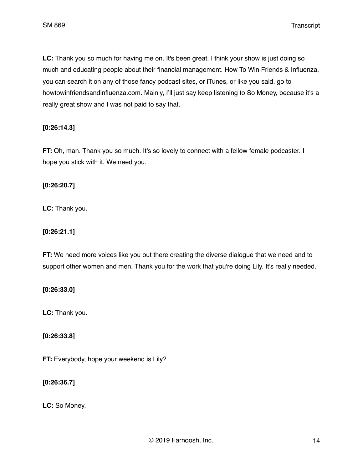**LC:** Thank you so much for having me on. It's been great. I think your show is just doing so much and educating people about their financial management. How To Win Friends & Influenza, you can search it on any of those fancy podcast sites, or iTunes, or like you said, go to howtowinfriendsandinfluenza.com. Mainly, I'll just say keep listening to So Money, because it's a really great show and I was not paid to say that.

# **[0:26:14.3]**

**FT:** Oh, man. Thank you so much. It's so lovely to connect with a fellow female podcaster. I hope you stick with it. We need you.

## **[0:26:20.7]**

**LC:** Thank you.

# **[0:26:21.1]**

**FT:** We need more voices like you out there creating the diverse dialogue that we need and to support other women and men. Thank you for the work that you're doing Lily. It's really needed.

## **[0:26:33.0]**

**LC:** Thank you.

# **[0:26:33.8]**

**FT:** Everybody, hope your weekend is Lily?

# **[0:26:36.7]**

**LC:** So Money.